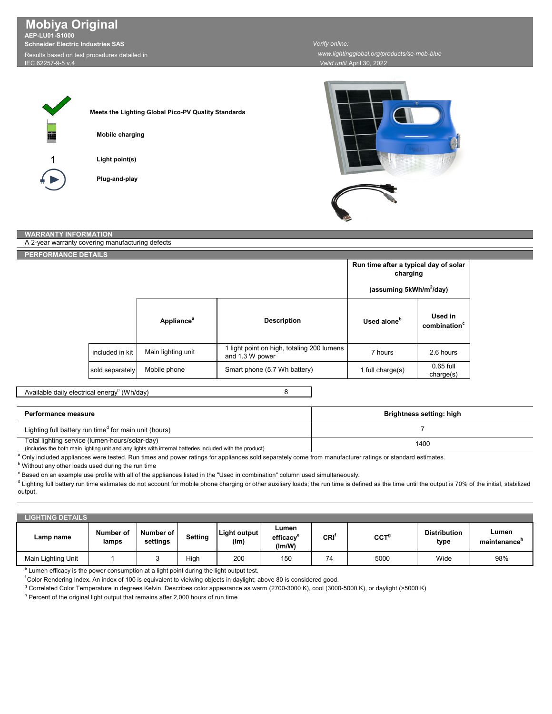Results based on test procedures detailed in **AEP-LU01-S1000 Schneider Electric Industries SAS Mobiya Original**

IEC 62257-9-5 v.4

*Verify online:* 

 *www.lightingglobal.org/products/se-mob-blue*

*Valid until:*April 30, 2022



| Meets the Lighting Global Pico-PV Quality Standards |
|-----------------------------------------------------|
| Mobile charging                                     |

**Light point(s)**

**Plug-and-play**



## **WARRANTY INFORMATION**

| A 2-year warranty covering manufacturing defects |                 |                               |                                                               |                                                   |                                     |  |
|--------------------------------------------------|-----------------|-------------------------------|---------------------------------------------------------------|---------------------------------------------------|-------------------------------------|--|
| PERFORMANCE DETAILS                              |                 |                               |                                                               |                                                   |                                     |  |
|                                                  |                 |                               |                                                               | Run time after a typical day of solar<br>charging |                                     |  |
|                                                  |                 |                               |                                                               | (assuming 5kWh/m <sup>2</sup> /day)               |                                     |  |
|                                                  |                 | <b>Appliance</b> <sup>a</sup> | <b>Description</b>                                            | Used alone <sup>b</sup>                           | Used in<br>combination <sup>c</sup> |  |
|                                                  | included in kit | Main lighting unit            | 1 light point on high, totaling 200 lumens<br>and 1.3 W power | 7 hours                                           | 2.6 hours                           |  |
|                                                  | sold separately | Mobile phone                  | Smart phone (5.7 Wh battery)                                  | 1 full charge(s)                                  | $0.65$ full<br>charge(s)            |  |

Available daily electrical energy $^{\rm c}$  (Wh/day)

8

| Performance measure                                                                                                                                       | Brightness setting: high |
|-----------------------------------------------------------------------------------------------------------------------------------------------------------|--------------------------|
| Lighting full battery run time <sup>d</sup> for main unit (hours)                                                                                         |                          |
| Total lighting service (lumen-hours/solar-day)<br>(includes the both main lighting unit and any lights with internal batteries included with the product) | 1400                     |

a Only included appliances were tested. Run times and power ratings for appliances sold separately come from manufacturer ratings or standard estimates.

**b** Without any other loads used during the run time

 $^\circ$  Based on an example use profile with all of the appliances listed in the "Used in combination" column used simultaneously.

 $^{\text{d}}$  Lighting full battery run time estimates do not account for mobile phone charging or other auxiliary loads; the run time is defined as the time until the output is 70% of the initial, stabilized output.

| <b>LIGHTING DETAILS</b> |                    |                       |         |                      |                                          |                  |                  |                             |                                   |
|-------------------------|--------------------|-----------------------|---------|----------------------|------------------------------------------|------------------|------------------|-----------------------------|-----------------------------------|
| Lamp name               | Number of<br>lamps | Number of<br>settings | Setting | Light output<br>(lm) | Lumen<br>efficacy <sup>e</sup><br>(lm/W) | CRI <sup>'</sup> | CCT <sup>g</sup> | <b>Distribution</b><br>type | Lumen<br>maintenance <sup>'</sup> |
| Main Lighting Unit      |                    |                       | High    | 200                  | 150                                      | 74               | 5000             | Wide                        | 98%                               |

e Lumen efficacy is the power consumption at a light point during the light output test.

f Color Rendering Index. An index of 100 is equivalent to vieiwing objects in daylight; above 80 is considered good.

<sup>g</sup> Correlated Color Temperature in degrees Kelvin. Describes color appearance as warm (2700-3000 K), cool (3000-5000 K), or daylight (>5000 K)

 $^{\rm h}$  Percent of the original light output that remains after 2,000 hours of run time